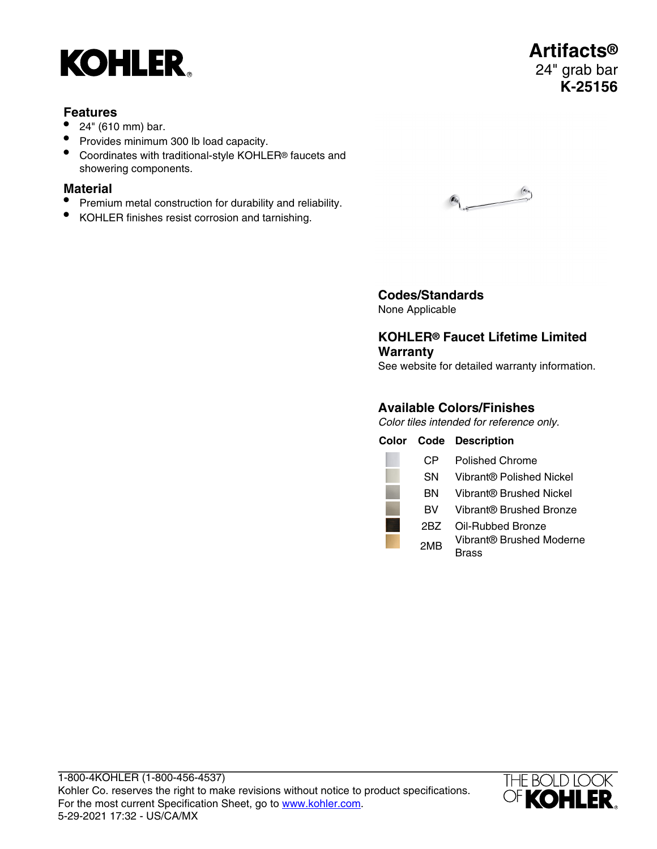# **KOHLER**

## **Features**

- 24" (610 mm) bar.
- Provides minimum 300 lb load capacity.
- Coordinates with traditional-style KOHLER® faucets and showering components.

## **Material**

- Premium metal construction for durability and reliability.
- KOHLER finishes resist corrosion and tarnishing.



**Artifacts®** 24" grab bar **K-25156**



#### **Codes/Standards** None Applicable

## **KOHLER® Faucet Lifetime Limited Warranty**

See website for detailed warranty information.

#### **Available Colors/Finishes**

Color tiles intended for reference only.

|     | <b>Color Code Description</b>    |
|-----|----------------------------------|
| CР  | Polished Chrome                  |
| SΝ  | Vibrant® Polished Nickel         |
| ΒN  | Vibrant® Brushed Nickel          |
| вv  | Vibrant® Brushed Bronze          |
| 2BZ | Oil-Rubbed Bronze                |
| 2MB | Vibrant® Brushed Moderne<br>rass |